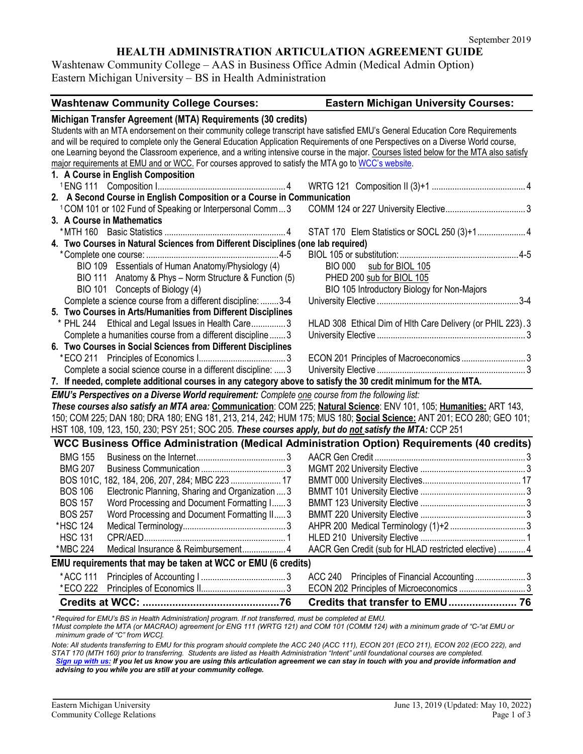## **HEALTH ADMINISTRATION ARTICULATION AGREEMENT GUIDE**

Washtenaw Community College – AAS in Business Office Admin (Medical Admin Option) Eastern Michigan University – BS in Health Administration

| <b>Washtenaw Community College Courses:</b>                                                                                              | <b>Eastern Michigan University Courses:</b>                 |  |
|------------------------------------------------------------------------------------------------------------------------------------------|-------------------------------------------------------------|--|
| Michigan Transfer Agreement (MTA) Requirements (30 credits)                                                                              |                                                             |  |
| Students with an MTA endorsement on their community college transcript have satisfied EMU's General Education Core Requirements          |                                                             |  |
| and will be required to complete only the General Education Application Requirements of one Perspectives on a Diverse World course,      |                                                             |  |
| one Learning beyond the Classroom experience, and a writing intensive course in the major. Courses listed below for the MTA also satisfy |                                                             |  |
| major requirements at EMU and or WCC. For courses approved to satisfy the MTA go to WCC's website.                                       |                                                             |  |
| 1. A Course in English Composition                                                                                                       |                                                             |  |
|                                                                                                                                          |                                                             |  |
| 2. A Second Course in English Composition or a Course in Communication                                                                   |                                                             |  |
| <sup>1</sup> COM 101 or 102 Fund of Speaking or Interpersonal Comm3                                                                      |                                                             |  |
| 3. A Course in Mathematics                                                                                                               |                                                             |  |
|                                                                                                                                          |                                                             |  |
| 4. Two Courses in Natural Sciences from Different Disciplines (one lab required)                                                         |                                                             |  |
|                                                                                                                                          |                                                             |  |
| BIO 109 Essentials of Human Anatomy/Physiology (4)                                                                                       | <b>BIO 000</b><br>sub for BIOL 105                          |  |
| BIO 111 Anatomy & Phys - Norm Structure & Function (5)                                                                                   | PHED 200 sub for BIOL 105                                   |  |
| BIO 101 Concepts of Biology (4)                                                                                                          | BIO 105 Introductory Biology for Non-Majors                 |  |
| Complete a science course from a different discipline:  3-4                                                                              |                                                             |  |
| 5. Two Courses in Arts/Humanities from Different Disciplines                                                                             |                                                             |  |
| * PHL 244 Ethical and Legal Issues in Health Care3                                                                                       | HLAD 308 Ethical Dim of HIth Care Delivery (or PHIL 223). 3 |  |
| Complete a humanities course from a different discipline3                                                                                |                                                             |  |
| 6. Two Courses in Social Sciences from Different Disciplines                                                                             |                                                             |  |
|                                                                                                                                          | ECON 201 Principles of Macroeconomics3                      |  |
| Complete a social science course in a different discipline:  3                                                                           |                                                             |  |
| 7. If needed, complete additional courses in any category above to satisfy the 30 credit minimum for the MTA.                            |                                                             |  |
| <b>EMU's Perspectives on a Diverse World requirement:</b> Complete one course from the following list:                                   |                                                             |  |
| These courses also satisfy an MTA area: Communication: COM 225; Natural Science: ENV 101, 105; Humanities: ART 143,                      |                                                             |  |
| 150; COM 225; DAN 180; DRA 180; ENG 181, 213, 214, 242; HUM 175; MUS 180; Social Science: ANT 201; ECO 280; GEO 101;                     |                                                             |  |
| HST 108, 109, 123, 150, 230; PSY 251; SOC 205. These courses apply, but do not satisfy the MTA: CCP 251                                  |                                                             |  |
| WCC Business Office Administration (Medical Administration Option) Requirements (40 credits)                                             |                                                             |  |
| <b>BMG 155</b>                                                                                                                           |                                                             |  |
| <b>BMG 207</b>                                                                                                                           |                                                             |  |
| BOS 101C, 182, 184, 206, 207, 284; MBC 223  17                                                                                           |                                                             |  |
| <b>BOS 106</b><br>Electronic Planning, Sharing and Organization  3                                                                       |                                                             |  |
| <b>BOS 157</b><br>Word Processing and Document Formatting I 3                                                                            |                                                             |  |
| <b>BOS 257</b><br>Word Processing and Document Formatting II3                                                                            |                                                             |  |
| *HSC 124                                                                                                                                 | AHPR 200 Medical Terminology (1)+2  3                       |  |
| <b>HSC 131</b>                                                                                                                           |                                                             |  |
| Medical Insurance & Reimbursement 4<br>*MBC 224                                                                                          | AACR Gen Credit (sub for HLAD restricted elective)  4       |  |
| EMU requirements that may be taken at WCC or EMU (6 credits)                                                                             |                                                             |  |
| *ACC 111                                                                                                                                 | <b>ACC 240</b><br>Principles of Financial Accounting3       |  |
| *ECO 222                                                                                                                                 | ECON 202 Principles of Microeconomics  3                    |  |
|                                                                                                                                          | Credits that transfer to EMU 76                             |  |
|                                                                                                                                          |                                                             |  |

*\* Required for EMU's BS in Health Administration] program. If not transferred, must be completed at EMU.* 

*1Must complete the MTA (or MACRAO) agreement [or ENG 111 (WRTG 121) and COM 101 (COMM 124) with a minimum grade of "C-"at EMU or minimum grade of "C" from WCC].*

*Note: All students transferring to EMU for this program should complete the ACC 240 (ACC 111), ECON 201 (ECO 211), ECON 202 (ECO 222), and STAT 170 (MTH 160) prior to transferring. Students are listed as Health Administration "Intent" until foundational courses are completed. [Sign up with us:](https://www.emich.edu/ccr/articulation-agreements/signup.php) If you let us know you are using this articulation agreement we can stay in touch with you and provide information and advising to you while you are still at your community college.*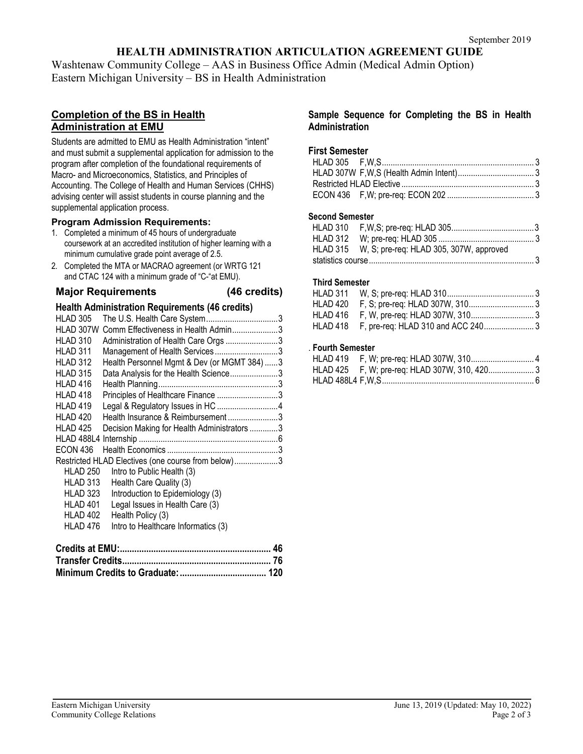# **HEALTH ADMINISTRATION ARTICULATION AGREEMENT GUIDE**

Washtenaw Community College – AAS in Business Office Admin (Medical Admin Option) Eastern Michigan University – BS in Health Administration

## **Completion of the BS in Health Administration at EMU**

Students are admitted to EMU as Health Administration "intent" and must submit a supplemental application for admission to the program after completion of the foundational requirements of Macro- and Microeconomics, Statistics, and Principles of Accounting. The College of Health and Human Services (CHHS) advising center will assist students in course planning and the supplemental application process.

#### **Program Admission Requirements:**

- 1. Completed a minimum of 45 hours of undergraduate coursework at an accredited institution of higher learning with a minimum cumulative grade point average of 2.5.
- 2. Completed the MTA or MACRAO agreement (or WRTG 121 and CTAC 124 with a minimum grade of "C-"at EMU).

**Major Requirements (46 credits)**

## **Health Administration Requirements (46 credits)**

| HLAD 305        |                                                    |  |
|-----------------|----------------------------------------------------|--|
| HLAD 307W       | Comm Effectiveness in Health Admin3                |  |
| HLAD 310        | Administration of Health Care Orgs 3               |  |
| HLAD 311        | Management of Health Services3                     |  |
| HLAD 312        | Health Personnel Mgmt & Dev (or MGMT 384) 3        |  |
| HLAD 315        | Data Analysis for the Health Science3              |  |
| HLAD 416        |                                                    |  |
| HLAD 418        | Principles of Healthcare Finance 3                 |  |
| HLAD 419        |                                                    |  |
| HLAD 420        | Health Insurance & Reimbursement3                  |  |
| HLAD 425        | Decision Making for Health Administrators 3        |  |
|                 |                                                    |  |
| ECON 436        |                                                    |  |
|                 | Restricted HLAD Electives (one course from below)3 |  |
| <b>HLAD 250</b> | Intro to Public Health (3)                         |  |
| HLAD 313        | Health Care Quality (3)                            |  |
| HLAD 323        | Introduction to Epidemiology (3)                   |  |
| HLAD 401        | Legal Issues in Health Care (3)                    |  |
| HLAD 402        | Health Policy (3)                                  |  |
| HLAD 476        | Intro to Healthcare Informatics (3)                |  |
|                 |                                                    |  |
|                 |                                                    |  |

#### **Sample Sequence for Completing the BS in Health Administration**

## **First Semester**

#### **Second Semester**

| HLAD 315 W, S; pre-req: HLAD 305, 307W, approved |  |
|--------------------------------------------------|--|
|                                                  |  |

## **Third Semester**

## . **Fourth Semester**

| HLAD 425 F, W; pre-req: HLAD 307W, 310, 420 3 |  |
|-----------------------------------------------|--|
|                                               |  |